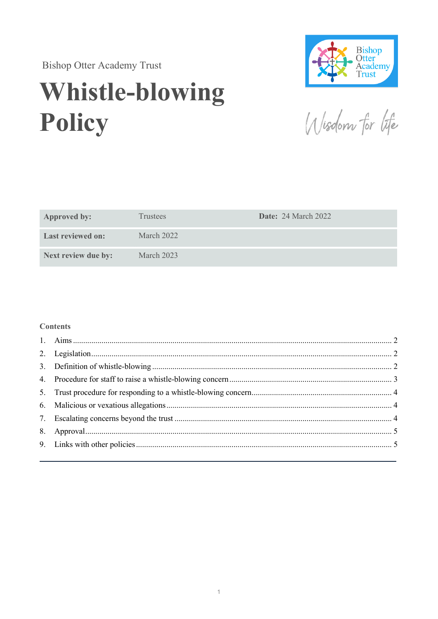**Bishop Otter Academy Trust** 

# **Whistle-blowing** Policy



Wisdom for life

| <b>Approved by:</b>      | <b>Trustees</b>   | <b>Date: 24 March 2022</b> |
|--------------------------|-------------------|----------------------------|
| <b>Last reviewed on:</b> | <b>March 2022</b> |                            |
| Next review due by:      | March $2023$      |                            |

#### **Contents**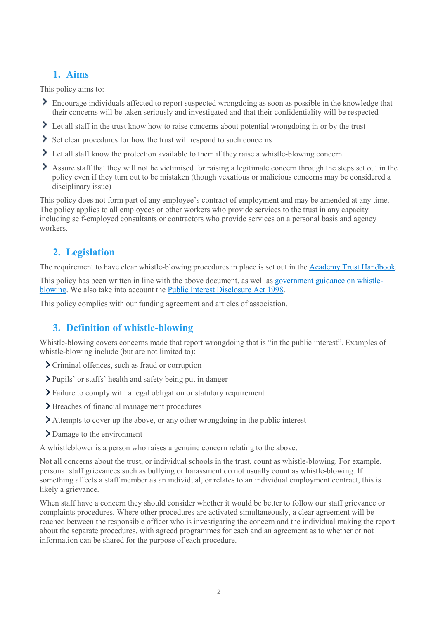# 1. Aims

This policy aims to:

- Encourage individuals affected to report suspected wrongdoing as soon as possible in the knowledge that their concerns will be taken seriously and investigated and that their confidentiality will be respected
- I Let all staff in the trust know how to raise concerns about potential wrongdoing in or by the trust
- Set clear procedures for how the trust will respond to such concerns
- Let all staff know the protection available to them if they raise a whistle-blowing concern
- Assure staff that they will not be victimised for raising a legitimate concern through the steps set out in the policy even if they turn out to be mistaken (though vexatious or malicious concerns may be considered a disciplinary issue)

This policy does not form part of any employee's contract of employment and may be amended at any time. The policy applies to all employees or other workers who provide services to the trust in any capacity including self-employed consultants or contractors who provide services on a personal basis and agency workers.

# 2. Legislation

The requirement to have clear whistle-blowing procedures in place is set out in the Academy Trust Handbook.

This policy has been written in line with the above document, as well as government guidance on whistleblowing. We also take into account the Public Interest Disclosure Act 1998.

This policy complies with our funding agreement and articles of association.

# 3. Definition of whistle-blowing

Whistle-blowing covers concerns made that report wrongdoing that is "in the public interest". Examples of whistle-blowing include (but are not limited to):

- Criminal offences, such as fraud or corruption
- Pupils' or staffs' health and safety being put in danger
- Failure to comply with a legal obligation or statutory requirement
- > Breaches of financial management procedures
- Attempts to cover up the above, or any other wrongdoing in the public interest
- Damage to the environment

A whistleblower is a person who raises a genuine concern relating to the above.

Not all concerns about the trust, or individual schools in the trust, count as whistle-blowing. For example, personal staff grievances such as bullying or harassment do not usually count as whistle-blowing. If something affects a staff member as an individual, or relates to an individual employment contract, this is likely a grievance.

When staff have a concern they should consider whether it would be better to follow our staff grievance or complaints procedures. Where other procedures are activated simultaneously, a clear agreement will be reached between the responsible officer who is investigating the concern and the individual making the report about the separate procedures, with agreed programmes for each and an agreement as to whether or not information can be shared for the purpose of each procedure.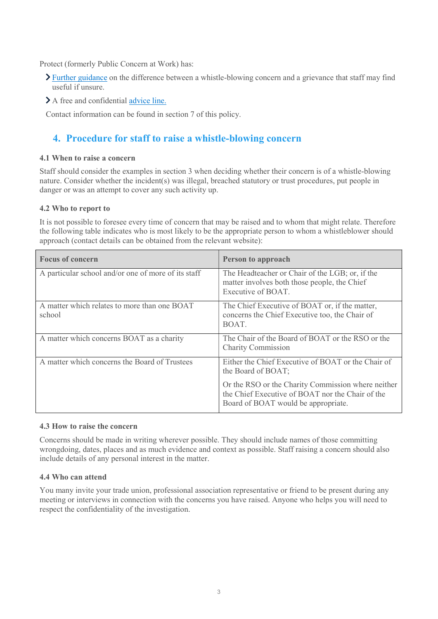Protect (formerly Public Concern at Work) has:

- Further guidance on the difference between a whistle-blowing concern and a grievance that staff may find useful if unsure.
- A free and confidential advice line.

Contact information can be found in section 7 of this policy.

## 4. Procedure for staff to raise a whistle-blowing concern

#### 4.1 When to raise a concern

Staff should consider the examples in section 3 when deciding whether their concern is of a whistle-blowing nature. Consider whether the incident(s) was illegal, breached statutory or trust procedures, put people in danger or was an attempt to cover any such activity up.

#### 4.2 Who to report to

It is not possible to foresee every time of concern that may be raised and to whom that might relate. Therefore the following table indicates who is most likely to be the appropriate person to whom a whistleblower should approach (contact details can be obtained from the relevant website):

| <b>Focus of concern</b>                                | Person to approach                                                                                                                            |
|--------------------------------------------------------|-----------------------------------------------------------------------------------------------------------------------------------------------|
| A particular school and/or one of more of its staff    | The Headteacher or Chair of the LGB; or, if the<br>matter involves both those people, the Chief<br>Executive of BOAT.                         |
| A matter which relates to more than one BOAT<br>school | The Chief Executive of BOAT or, if the matter,<br>concerns the Chief Executive too, the Chair of<br>BOAT.                                     |
| A matter which concerns BOAT as a charity              | The Chair of the Board of BOAT or the RSO or the<br><b>Charity Commission</b>                                                                 |
| A matter which concerns the Board of Trustees          | Either the Chief Executive of BOAT or the Chair of<br>the Board of BOAT;                                                                      |
|                                                        | Or the RSO or the Charity Commission where neither<br>the Chief Executive of BOAT nor the Chair of the<br>Board of BOAT would be appropriate. |

#### 4.3 How to raise the concern

Concerns should be made in writing wherever possible. They should include names of those committing wrongdoing, dates, places and as much evidence and context as possible. Staff raising a concern should also include details of any personal interest in the matter.

#### 4.4 Who can attend

You many invite your trade union, professional association representative or friend to be present during any meeting or interviews in connection with the concerns you have raised. Anyone who helps you will need to respect the confidentiality of the investigation.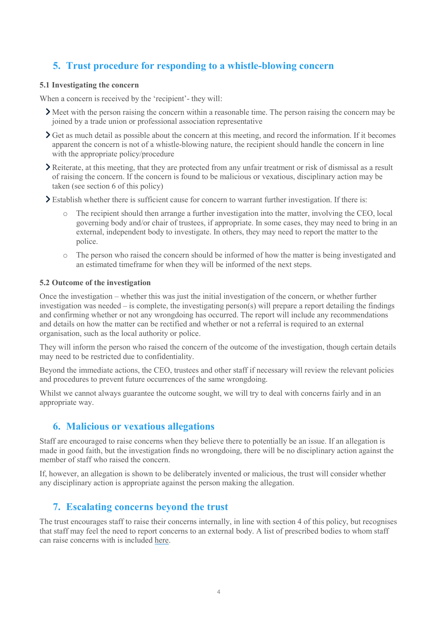# 5. Trust procedure for responding to a whistle-blowing concern

#### 5.1 Investigating the concern

When a concern is received by the 'recipient'- they will:

- Meet with the person raising the concern within a reasonable time. The person raising the concern may be joined by a trade union or professional association representative
- $\sum$  Get as much detail as possible about the concern at this meeting, and record the information. If it becomes apparent the concern is not of a whistle-blowing nature, the recipient should handle the concern in line with the appropriate policy/procedure
- Reiterate, at this meeting, that they are protected from any unfair treatment or risk of dismissal as a result of raising the concern. If the concern is found to be malicious or vexatious, disciplinary action may be taken (see section 6 of this policy)
- $\sum$  Establish whether there is sufficient cause for concern to warrant further investigation. If there is:
	- The recipient should then arrange a further investigation into the matter, involving the CEO, local governing body and/or chair of trustees, if appropriate. In some cases, they may need to bring in an external, independent body to investigate. In others, they may need to report the matter to the police.
	- o The person who raised the concern should be informed of how the matter is being investigated and an estimated timeframe for when they will be informed of the next steps.

#### 5.2 Outcome of the investigation

Once the investigation – whether this was just the initial investigation of the concern, or whether further investigation was needed – is complete, the investigating person(s) will prepare a report detailing the findings and confirming whether or not any wrongdoing has occurred. The report will include any recommendations and details on how the matter can be rectified and whether or not a referral is required to an external organisation, such as the local authority or police.

They will inform the person who raised the concern of the outcome of the investigation, though certain details may need to be restricted due to confidentiality.

Beyond the immediate actions, the CEO, trustees and other staff if necessary will review the relevant policies and procedures to prevent future occurrences of the same wrongdoing.

Whilst we cannot always guarantee the outcome sought, we will try to deal with concerns fairly and in an appropriate way.

## 6. Malicious or vexatious allegations

Staff are encouraged to raise concerns when they believe there to potentially be an issue. If an allegation is made in good faith, but the investigation finds no wrongdoing, there will be no disciplinary action against the member of staff who raised the concern.

If, however, an allegation is shown to be deliberately invented or malicious, the trust will consider whether any disciplinary action is appropriate against the person making the allegation.

### 7. Escalating concerns beyond the trust

The trust encourages staff to raise their concerns internally, in line with section 4 of this policy, but recognises that staff may feel the need to report concerns to an external body. A list of prescribed bodies to whom staff can raise concerns with is included here.